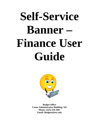# **Self-Service Banner – Finance User Guide**



**Budget Office Coons Administrative Building, 101 Phone: (323) 259-2967 Email: Budgets@oxy.edu**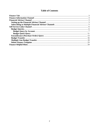# **Table of Contents**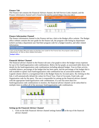### **Finance Tab**

The Finance tab contains the Financial Advisor channel, the Self Service Links channel, and the Finance information channel and is found in the myOxy portal (https://my.oxy.edu/).

|                                                                                                                                                                                                                                                                               |                                                                                                                                                                                                                                                                                                  | <b>Customial College</b>                                                |                                                                 |                                                                                                                                                                      |                                                    |                                                 |                                            |                                                                                                                                                                 |
|-------------------------------------------------------------------------------------------------------------------------------------------------------------------------------------------------------------------------------------------------------------------------------|--------------------------------------------------------------------------------------------------------------------------------------------------------------------------------------------------------------------------------------------------------------------------------------------------|-------------------------------------------------------------------------|-----------------------------------------------------------------|----------------------------------------------------------------------------------------------------------------------------------------------------------------------|----------------------------------------------------|-------------------------------------------------|--------------------------------------------|-----------------------------------------------------------------------------------------------------------------------------------------------------------------|
| <b>Content Cities</b><br>myOXY.                                                                                                                                                                                                                                               |                                                                                                                                                                                                                                                                                                  |                                                                         | <b>DRU OXY</b> 21.0                                             |                                                                                                                                                                      |                                                    |                                                 |                                            |                                                                                                                                                                 |
| Secore Access Lagin                                                                                                                                                                                                                                                           | Welcome to myOny!                                                                                                                                                                                                                                                                                | No Account<br><b>March Laurus</b><br><b>Portal Admin</b>                | <b>Makama Krushal Broad</b><br>This are competity begins if the |                                                                                                                                                                      |                                                    |                                                 |                                            | in.<br>$\blacksquare$<br>$\bullet$<br>흐<br>m<br>$\bullet$                                                                                                       |
| Oyyeet 30:<br>Fascussed                                                                                                                                                                                                                                                       | million is condental is web portal, A portal is a personalized access point to a collection of web-based services and information. It differs from a sing<br>striktion of letto because it uses a contenution of security, personalization and customation designed to meet your specific reeds. | <b>Insectal Adviser</b>                                                 |                                                                 | Welcome   Directories & Search   Personalize   Employee Services                                                                                                     |                                                    |                                                 | 不同的                                        | Horambar<br><b>Self Service Links</b>                                                                                                                           |
| <b>Login Canad</b><br>The ware of any program or web plage that aske you for your<br>Onmet light and password. Secure Ony with pages that ask you.<br>with "hitte" and the domain name is always "buyady". In<br>addition, your browser should visually indicate that you are | What's Inside?<br>Treat: Across Dry Vistmail and DryCOMMCT antal services through myOrg.<br>Orgedia: Single sign in to Drypadia through myDry; share information with the campus community.                                                                                                      | 1416,000<br>\$317,500<br>6225,689<br>8112,500                           |                                                                 |                                                                                                                                                                      |                                                    |                                                 |                                            | <b>Budget Queries</b><br><b>Entumbrance Overy</b><br><b>Badget Transfer</b><br><b>Multiple Line Budget Transfer Form</b><br><b>Celete Finance Template</b>      |
| atteraing a seture page.                                                                                                                                                                                                                                                      |                                                                                                                                                                                                                                                                                                  |                                                                         |                                                                 |                                                                                                                                                                      |                                                    |                                                 |                                            | <b>Finance Information</b>                                                                                                                                      |
| For security reasons, please all cays remember to Lognut and<br>Exit your web browsers when you are done using myDrof.                                                                                                                                                        | Cohean Apps Acres versus De web applications that are applicable to you with eingle sign on through excites.                                                                                                                                                                                     |                                                                         | 2.                                                              | $-3$ $4$ $5$                                                                                                                                                         |                                                    |                                                 |                                            | Click on the Budget Office link below to find the User Guide for the Finance tab, the program code listing<br>department, as well as other related information. |
|                                                                                                                                                                                                                                                                               | and much more<br>D Your other fosters are planned for delivers throughout the year and we encourage you to suggest the wave in what myDoc can be even<br>more useful for you. The freedback communities a vehicle for you to let us know what you                                                | 1 4005 1025<br>2 AUGS 7447<br>3 4004 4930<br>4 AOUS 1421<br>5 A0dd 1485 | 95,511<br>206,627<br>243,403<br>249,479<br>429,426              | <b>Ingend Fund thrus Adjusted Rodget VTD Activity / Encountments Available Relative Persont Spent Person Available</b><br>5,485<br>25,075<br>14,478<br>$-773$<br>283 | 90,506<br>194,932<br>224.704<br>144,443<br>425,372 | 5.74<br>11.94<br>4.84<br>$-0.34$<br>$2 - 4 + 7$ | 34.36<br>39.04<br>93.64<br>109.82<br>99.93 | <b>Bedget Office</b>                                                                                                                                            |

### **Finance Information Channel**

The finance information channel in the Finance tab has a link to the Budget office website. The Budget office website contains the user guide for the finance tab, the program code listing by department (which can help a department user find their program code for a budget transfer), and other related information.

| <b>Finance Information</b>                                                                                                                                        |  |
|-------------------------------------------------------------------------------------------------------------------------------------------------------------------|--|
| Click on the Budget Office link below to find the User Guide for the Finance tab, the program code listng by<br>department, as well as other related information. |  |
| <b>Budget Office</b>                                                                                                                                              |  |

### **Financial Advisor Channel**

The financial advisor channel in the Finance tab uses a bar graph to show the budget versus expenses for up to five fund/organization code combinations. Below the bar graph, an associated table shows the details for the fund/organization code combinations including adjusted budget, Year-to-Date activity, available balance, percentage of the budget that has been spent, and the percentage of the budget that is still available to spend. Each fund/organization code combination has an associated number in the Legend column which is a navigational link to the Budget Status by Account query. By clicking on this link, it will automatically default the values for Fiscal Year, Chart of Accounts, Fund code, and Organization code for the query. The user is responsible for setting up the financial advisor channel with the appropriate fund/organization code combinations. If a user has more than five fund/organization code combinations to monitor, the financial advisor channel can be subscribed to multiple times to reflect all of the necessary fund/organization code combinations.



# **Setting up the Financial Advisor Channel**

1. Click on the Edit Financial Advisor channel settings button  $\Box$  at the top of the financial advisor channel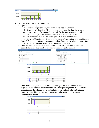

- 2. At the Financial Advisor Preferences screen
	- a. Update the following:
		- i. Select the Adjusted Budget Color from the drop-down menu
		- ii. Select the YTD Activity / Commitments Color from the drop-down menu
		- iii. Enter the Chart of Accounts (COA) code for the fund/organization code combination (Note: Oxy only has one chart of accounts code: 9)
		- iv. Enter the Fund code for the fund/organization code combination
		- v. Enter the Organization (Orgn) code for the fund/organization code combination
	- b. Once all fund/organization code combinations have been entered, click the Apply link
		- i. Note: the Reset link will automatically clear all settings
	- c. Click the Back link to return to the financial advisor channel which will now be populated with the data for all of the fund/organization codes entered



Note: Since non-operating funds do not have budgets the only data that will be displayed in the financial advisor channel for a non-operating fund is YTD Activity / Commitments. To calculate the available balance for the fund, take the beginning balance (obtained from the Business office) and subtract the YTD Activity / Commitments amount

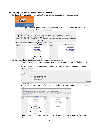### **Subscribing to Multiple Financial Advisor Channels**

1. From the Finance tab, click on the Content Layout link at the top left of the screen



2. On the Manage Content/Layout screen, click the Finance tab and then under the Financial Advisor channel, click the New Channel button



- 3. Select the following to add another Financial Advisor channel
	- a. Select a Category: using the drop-down menu, select Auto-Published and click the go button
	- b. Select a channel: click on Financial Advisor to select the channel and then click the Add Channel button

| Manage Content/Layout                                      |                                                                                                                                                                                                 |            |
|------------------------------------------------------------|-------------------------------------------------------------------------------------------------------------------------------------------------------------------------------------------------|------------|
| Warning:                                                   |                                                                                                                                                                                                 |            |
| Steps for adding a new channel:                            |                                                                                                                                                                                                 |            |
| 1. Select a category:<br>$\mathbf{w}$ go<br>Auto-Published | 2. Select a channel:<br>Category: Holds Auto-published Channels.<br>Banner Self-Service<br><b>Employment Details</b><br>Finance Self Service Links<br>Financial Advisor<br>Personal Information |            |
|                                                            | s. Add the selected channel:                                                                                                                                                                    | Add Channe |

- E Cancel and return
- c. The newly created financial advisor channel will appear on the Manage Content/Layout screen

| Manage Content/Layout                                            |                                                                                                                                                                                                    |                                                                                                                                                                               |                                                                                                                                                                                                                                                                                                                                                                                                                                                                  |                      |
|------------------------------------------------------------------|----------------------------------------------------------------------------------------------------------------------------------------------------------------------------------------------------|-------------------------------------------------------------------------------------------------------------------------------------------------------------------------------|------------------------------------------------------------------------------------------------------------------------------------------------------------------------------------------------------------------------------------------------------------------------------------------------------------------------------------------------------------------------------------------------------------------------------------------------------------------|----------------------|
| Options for modifying Preferences:<br>E Revert to default layout |                                                                                                                                                                                                    | Taber To add a tab, clid: the "Add Hev Tab" button. To maye a tab, clid: the arrow pointing in the direction you want it to move. To edit or remove a tab, click on its name. | thenede: To ded started, doin the "Add Chanel" bitten share pour ast it to be placed. To move a shannel, dok the announcement in disclose you want it to move. To edit a dunnel, dok on its mits and to detail build a started<br>Columnas: "To add a column, clob on the "Add Column" button where you want it to be placed. To mere a column, clob the arrow pointing in the dreston you want it to move. To edit, resize or remove a column, clob its "Salest |                      |
| Welcome                                                          |                                                                                                                                                                                                    | Add Tab<br><b>Pragments</b>                                                                                                                                                   |                                                                                                                                                                                                                                                                                                                                                                                                                                                                  |                      |
| A64<br><b>Column</b>                                             | ΙΘ<br>Select Column<br>New Channel<br><b>Financial Advisor</b><br><b>Select Channel</b><br>B<br>⊕<br>-191<br>圓<br>tion Channel<br><b>Financial Advisor</b><br><b>Select Channel</b><br>▣<br>$\Box$ | Add<br>Column                                                                                                                                                                 | ▣<br>Select Column<br>New Channel<br><b>Finance Self Service Links</b><br><b>Select Channel</b><br>瘒<br>New Channel                                                                                                                                                                                                                                                                                                                                              | <b>A66</b><br>Column |

d. Click the Back to Finance Tab link at the top left of the screen to return to the finance tab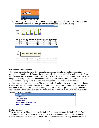| <b>Occidental College</b><br>tan(0) |  |
|-------------------------------------|--|
| Back to<br>Finance Tab              |  |
| Manage Content/Layout               |  |

4. The newly created financial advisor channel will appear on the finance tab (this channel will need to be setup with the appropriate fund/organization code combinations)

| <b>Financial Advisor</b>                         |              |                |   |                |              |              |                                                                                                               | <b>ZOFIX</b> |
|--------------------------------------------------|--------------|----------------|---|----------------|--------------|--------------|---------------------------------------------------------------------------------------------------------------|--------------|
| \$550,000<br>\$412,500<br>\$275,000<br>\$137,500 |              |                |   |                |              |              |                                                                                                               |              |
|                                                  | 1            | $\overline{2}$ | 3 | $\overline{4}$ | 5            |              |                                                                                                               |              |
|                                                  |              |                |   |                |              |              | Legend Fund Orgn Adjusted Budget YTD Activity / Commitments Available Balance Percent Spent Percent Available |              |
| 1 A001 1025                                      |              | 98,437         |   |                | 38,363       | 60,074       | 38.97                                                                                                         | 61.03        |
| 2 A001 7447                                      |              | 210,261        |   |                | 79,229       | 131,032      | 37.68                                                                                                         | 62.32        |
| 3 A001 6350                                      |              | 404,924        |   |                | 109,044      | 295,880      | 26.93                                                                                                         | 73.07        |
| 4 A001 1431                                      |              | 267,335        |   |                | 67,882       | 199,453      | 25.39                                                                                                         | 74.61        |
| 5 A001 1450                                      |              | 509,213        |   |                | 139,041      | 370,172      | 27.31                                                                                                         | 72.69        |
| \$1.00<br>\$0.75<br>\$0.50<br>\$0.25             |              |                |   |                |              |              |                                                                                                               |              |
|                                                  | $\mathbf{1}$ | $\overline{2}$ | 3 | $\overline{4}$ | 5            |              |                                                                                                               |              |
|                                                  |              |                |   |                |              |              |                                                                                                               |              |
|                                                  |              | 0.00           |   |                | 0.00         | 0.00         | Legend Fund Orgn Adjusted Budget YTD Activity / Commitments Available Balance Percent Spent Percent Available |              |
| 1<br>$\overline{2}$                              |              | 0.00           |   |                |              | 0.00         |                                                                                                               |              |
| ä                                                |              | 0.00           |   |                | 0.00<br>0.00 | 0.00         |                                                                                                               |              |
|                                                  |              |                |   |                |              |              |                                                                                                               |              |
|                                                  |              |                |   |                |              |              |                                                                                                               |              |
| $\overline{\mathbf{4}}$<br>5                     |              | 0.00<br>0.00   |   |                | 0.00<br>0.00 | 0.00<br>0.00 |                                                                                                               |              |

### **Self Service Links Channel**

The self service links channel in the Finance tab contains the links for the budget queries, the encumbrance (purchase order) query, the budget transfer form, the multiple line budget transfer form, and the delete finance template form. The budget queries link allows the user to select from 2 different budget queries to get account information for their designated fund/organization code combinations. The encumbrance query link allows the user to view purchase orders for their designated fund/organization code combinations. The budget transfer link allows the user to make a 2 line budget transfer for their designated fund/organization code combinations. The multiple line budget transfer link allows the user to make up to a 5 line budget transfer for their designated fund/organization code combinations. The delete finance template link allows the user to delete any saved templates for the various queries and transfers.



### **Budget Queries**

There are two types of budget queries: the Budget Query by Account and the Budget Quick Query. The budget query by account allows the user to receive detailed information for their designated fund/organization code combination whereas the budget quick query gives only summary information.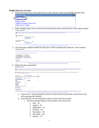### **Budget Query by Account**

1. From the Finance tab, in the Self Service Links channel, click on the Budget Queries link



2. Select Budget Query by Account from the drop-down menu and click the Create Query button **Budget Queries** 

| Budget Status by Account |
|--------------------------|
|                          |
|                          |
|                          |
| $\sim$                   |
|                          |
|                          |

3. All of the data columns needed for the query will be automatically selected, click Continue Budget Queries

| Adopted Budget                               | <b>Vear to Date</b> |
|----------------------------------------------|---------------------|
| <b>Di Budget Adjustment [Di Encumbrances</b> |                     |
| Adjusted Budget                              | Available Balance   |
| Save Query as:                               |                     |

[ Budget Queries | Encumbrance Query | Budget Transfer | Multiple Line Budget Transfer | Delete Finance Template ]

4. Select the query parameters<br>Budget Queries

Op For a Budget Query to be successful, a user with Fund Organization query access must enter a value in the Organization field (entering % in the organization field will bring up all organization codes<br>for the fund) as we

To perform a comparison query select a Comparison Fiscal Year and Period in addition to the required Fiscal Year and Period. With this selection, all details retrieved will be placed next to the

| <b>Fiscal year:</b>                | $2010 \times$ | <b>Fiscal period:</b>                   | $01 \times$ |
|------------------------------------|---------------|-----------------------------------------|-------------|
| Comparison Fiscal year: None v     |               | <b>Comparison Fiscal period:</b> None M |             |
| <b>Commitment Type:</b>            | ΑII           | v                                       |             |
| <b>Chart of Accounts</b>           | 9             |                                         |             |
| Fund                               |               | Activity                                |             |
| Organization                       |               |                                         |             |
| Account.                           |               |                                         |             |
| Program                            |               |                                         |             |
| <b>My Include Revenue Accounts</b> |               |                                         |             |
| <b>Save Query as:</b>              |               |                                         |             |
| Submit Query                       |               |                                         |             |

- a. Fiscal Year: use the drop-down menu to select the fiscal year (the current fiscal year will automatically default)
- b. Fiscal Period: use the drop-down menu to select the fiscal period
	- i. The fiscal period relates to each month of the fiscal year:
		- 1. July  $-01$ 
			- 2. August  $-02$
			- 3. September 03
			- 4. October 04
			- 5. November 05
			- 6. December 06
			- 7. January  $-07$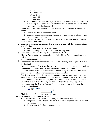- 8. February 08
- 9. March 09
- 10. April 10
- 11. May 11
- 12. June 12
- ii. When a fiscal period is selected, it will show all data from the start of the fiscal year through the last date of the month for that fiscal period. To see the entire fiscal year, select fiscal period 12
- c. Comparison Fiscal Year: this selection allows a user to compare one fiscal year to another
	- i. Select None if no comparison is needed
	- ii. Select the comparison fiscal year from the drop-down menu to add that year's comparison data to the query

Notes: for a comparison query to work, the comparison fiscal year and the comparison fiscal period must be selected.

- d. Comparison Fiscal Period: this selection is used in tandem with the comparison fiscal year selection
	- i. Select None if no comparison is needed
	- ii. Select the comparison fiscal period from the drop-down menu
- e. Commitment Type: use the drop-down menu to select All
- f. Chart of Accounts: this will automatically default with Oxy's only chart of accounts  $code - 9$
- g. Fund: enter the fund code
- h. Organization: enter the organization code or enter % to bring up all organization codes for that fund
- i. Account, Program, and Activity: these codes are not necessary to run the query and can be left blank, however, they can be entered to refine the query results
- j. Include Revenue Accounts: this checkbox is automatically selected, however, if the query should not contain revenue accounts, uncheck this box
- k. Save Query as: this field is for saving the parameters entered for the query to be used again in the future. If this field is left blank, the parameters will not be saved. If this field is populated with a query name, the parameters will be saved when the Submit Query button is clicked. The query can then be retrieved in the future by selecting the query name from the Retrieve Existing Query drop-down menu and clicking the Retrieve Query button<br>Retrieve Existing Query



- l. Click the Submit Query button to run the query
- 5. The query results will automatically display
	- a. The Report Parameters section contains the parameters from the query
		- i. The period ending date gives the last date of the fiscal period that was selected for the query
		- ii. The as of date is the date the query was run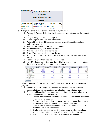**Report Parameters** 

| <b>Organization Budget Status Report</b> |                                        |                     |     |  |  |  |  |  |  |
|------------------------------------------|----------------------------------------|---------------------|-----|--|--|--|--|--|--|
| <b>By Account</b>                        |                                        |                     |     |  |  |  |  |  |  |
| Period Ending Oct 31, 2009               |                                        |                     |     |  |  |  |  |  |  |
| As of Nov 02, 2009                       |                                        |                     |     |  |  |  |  |  |  |
|                                          | Chart of Accounts 9 Occidental College | Commitment Type All |     |  |  |  |  |  |  |
| Fund                                     | A001 Current Operations                | Program             | All |  |  |  |  |  |  |
| Organization                             | 7410 Test Department Data Activity     |                     | All |  |  |  |  |  |  |
| Account                                  | All                                    | Location            | Αll |  |  |  |  |  |  |

- b. The Query Results section contains detailed query information
	- i. Account  $\&$  Account Title: these fields contain the account code and the account code title
	- ii. Adopted Budget: the original budget load
	- iii. Budget Adjustments: all budget adjustments
	- iv. Adjusted Budget: the difference between the original budget load and any budget adjustments
	- v. Year to Date: all year to date activity (expenses, etc)
	- vi. Encumbrances: any open purchase orders
	- vii. Available Balance: the balance available
	- viii. Screen Total: total of all records on the screen
	- ix. Running Total: total of all records on the screen plus any records previously viewed
	- x. Report Total (of all records): total of all records
	- xi. Next 15> Button: only 15 account lines will show on the screen at a time, to see the next 15 account lines, click the Next 15 button

|      | <b>Account Account Title</b>  | FY09/PD04 Adopted<br><b>Budget</b> | FY09/PD04 Budget<br><b>Adjustment</b> | FY09/PD04 Adjusted<br><b>Budget</b> | FY09/PD04 Year to<br>Date | <b>FY09/PD04</b><br><b>Encumbrances</b> | FY09/PD04 Available<br><b>Balance</b> |
|------|-------------------------------|------------------------------------|---------------------------------------|-------------------------------------|---------------------------|-----------------------------------------|---------------------------------------|
|      | 1813X Tsfrs In For Other      | 0.00                               | 0.00                                  | 0.00.                               | 0.00                      | 0.00                                    | 0.0                                   |
| 2322 | Other Supplies                | 1,050.80                           | 0.00                                  | 1,050.80                            | 81.18                     | 0.00                                    | 969.6                                 |
| 2334 | Vehicle Gasoline              | 5.043.86                           | 0.00                                  | 5.043.86                            | 3.342.09                  | 0.00                                    | 1,701.7                               |
| 2347 | Equipment Rental              | 12,982.68                          | 10.918.21)                            | 2.064.47                            | 0.00                      | 0.00                                    | 2,064,4                               |
| 2349 | Other Operating<br>Expenses   | 3.754.52                           | 0.00                                  | 3.754.52                            | 4,471.91                  | 0.00                                    | (717.3)                               |
| 2361 | Equipment<br>Maintenance      | 10,508.04                          | 1,722.37                              | 12,230.41                           | 12,230.41                 | 0.00                                    | 0.0                                   |
| 2433 | Equipment (Under<br>\$5,000)  | 0.00                               | 0.00                                  | 0.00                                | 0.00                      | 0.00                                    | 0.0                                   |
| 2434 | Equipment (Over<br>\$5,000)   | 0.00                               | 9.195.84                              | 9,195.84                            | 9,195.84                  | 0.00                                    | 0.0                                   |
|      | Report Total (of all records) | 33,339.90                          | 0.00                                  | 33,339.90                           | 29.321.43                 | 0.00                                    | 4.018.4                               |

 $Next 15$ 

- c. Below the query results are some additional features that can be used to augment the query data
	- i. The Download All Ledger Columns and the Download Selected Ledger Columns buttons will automatically download all query data into Excel
	- ii. Compute Additional Columns for the query section this section allows the user to add computation columns to the query
		- 1. Column 1: use the drop-down menu to select the first column that should be used in the computation
		- 2. Operator: use the drop-down menu to select the operation that should be performed between the column 1 and column 2 selections
		- 3. Column 2: use the drop-down menu to select the second column that should be used in the computation
		- 4. Display After Column: use the drop-down menu to select the column within the query where the new column should be displayed after
		- 5. New Column Description: enter the title of the new column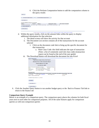6. Click the Perform Computation button to add the computation column to the query results

| Download All Ledger Columns<br>Save Query as                           |                 | Download Selected Ledger Columns        |                                    |                               |
|------------------------------------------------------------------------|-----------------|-----------------------------------------|------------------------------------|-------------------------------|
| <b>Compute Additional Columns for the query</b><br>Column <sub>1</sub> | <b>Operator</b> | Column <sub>2</sub>                     | <b>Display After Column</b>        | <b>New Column Description</b> |
| M.<br>FY10/PD04 Adopted Budget<br>Perform Computation                  |                 | percent of M   FY10/PD04 Adopted Budget | $\sim$<br>FY10/PD04 Adopted Budget | ×                             |
| Another Query                                                          |                 |                                         |                                    |                               |

- [ Budget Queries | Encumbrance Query | Budget Transfer | Multiple Line Budget Transfer | Delete Finance Template ]
- d. Within the query results, click on the amount links within the query to display additional information for that selection
	- i. The detail screen will show the activity for that account
	- ii. The Document List section contains all of the transactions for the account selected
		- 1. Click on the document code link to bring up the specific document for that transaction
			- a. Rule Class Code: this field indicates the type of transaction (Note: a list of commonly used rule class codes (transaction types) can be found at the end of the user guide)
	- iii. The Download button will download the document list into Excel

| <b>Report Parameters</b>       |                                                                                                                             |                      |     |             |
|--------------------------------|-----------------------------------------------------------------------------------------------------------------------------|----------------------|-----|-------------|
|                                | <b>Organization Budget Status Detail Report</b>                                                                             |                      |     |             |
|                                | <b>Summary Year to Date Transaction Report</b>                                                                              |                      |     |             |
|                                | Period Ending Oct 31, 2009                                                                                                  |                      |     |             |
|                                |                                                                                                                             |                      |     |             |
|                                | As of Nov 02, 2009                                                                                                          |                      |     |             |
|                                | Chart of Accounts: 9 Occidental College                                                                                     | Commitment Type: All |     |             |
| Fund:                          | A001 Current Operations                                                                                                     | Program:             | All |             |
| Organization:                  | 7410 Test Department Data Activity:                                                                                         |                      | All |             |
| Account:                       | 2321 Office Supplies                                                                                                        | Location:            | All |             |
| Jul 20, 2009                   | Transaction Date Activity Date Document Code Vendor/Transaction Description Amount Rule Class Code<br>Jul 20, 2009 I0485902 | Office Depot, Inc.   |     | 167.41 INNI |
| Report Total (of all records): |                                                                                                                             |                      |     | 167.41      |
|                                |                                                                                                                             |                      |     |             |
|                                | Available Budget Balance: 11,209.60                                                                                         |                      |     |             |
|                                |                                                                                                                             |                      |     |             |
| Download                       |                                                                                                                             |                      |     |             |
|                                |                                                                                                                             |                      |     |             |
| Save Query as                  |                                                                                                                             |                      |     |             |
|                                |                                                                                                                             |                      |     |             |
|                                |                                                                                                                             |                      |     |             |
| Another Ouerv                  |                                                                                                                             |                      |     |             |

6. Click the Another Query button to run another budget query or the Back to Finance Tab link to return to the finance tab

### **Comparison Query Example**

Next 15>

Below is an example of a comparison query. The comparison query places the columns for both fiscal years next to each other for comparison purposes. All of the same features apply for comparison queries as with non-comparison queries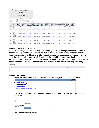|                      | <b>Report Parameters</b>             |                                          |                          |                       |                                                      |           |                                  |                                                                                                                     |                        |      |                                                                |                                      |                                    |
|----------------------|--------------------------------------|------------------------------------------|--------------------------|-----------------------|------------------------------------------------------|-----------|----------------------------------|---------------------------------------------------------------------------------------------------------------------|------------------------|------|----------------------------------------------------------------|--------------------------------------|------------------------------------|
|                      |                                      | <b>Organization Budget Status Report</b> |                          |                       |                                                      |           |                                  |                                                                                                                     |                        |      |                                                                |                                      |                                    |
|                      |                                      | <b>By Account</b>                        |                          |                       |                                                      |           |                                  |                                                                                                                     |                        |      |                                                                |                                      |                                    |
|                      |                                      | Period Ending Oct 31, 2009               |                          |                       |                                                      |           |                                  |                                                                                                                     |                        |      |                                                                |                                      |                                    |
|                      |                                      | As of Nov 02, 2009                       |                          |                       |                                                      |           |                                  |                                                                                                                     |                        |      |                                                                |                                      |                                    |
|                      |                                      | Compared to Oct 31, 2008                 |                          |                       |                                                      |           |                                  |                                                                                                                     |                        |      |                                                                |                                      |                                    |
|                      |                                      | Chart of Accounts 9 Occidental College   |                          | Commitment Type All   |                                                      |           |                                  |                                                                                                                     |                        |      |                                                                |                                      |                                    |
| Fund                 |                                      | A001 Current Operations                  |                          | Program               | All                                                  |           |                                  |                                                                                                                     |                        |      |                                                                |                                      |                                    |
| Organization         |                                      | 7410 Test Department Data Activity       |                          |                       | All                                                  |           |                                  |                                                                                                                     |                        |      |                                                                |                                      |                                    |
| Account              | All                                  |                                          |                          | Location              | All                                                  |           |                                  |                                                                                                                     |                        |      |                                                                |                                      |                                    |
| <b>Query Results</b> |                                      |                                          |                          |                       |                                                      |           |                                  |                                                                                                                     |                        |      |                                                                |                                      |                                    |
|                      | <b>Account Account</b><br>Title      | Adopted<br><b>Budget</b>                 | Adopted<br><b>Budget</b> | <b>Budget</b>         | <b>Budget</b><br><b>Adjustment Adjustment Budget</b> | Adjusted  | <b>Adjusted</b><br><b>Budget</b> | FY09/PD04 FY10/PD04 FY09/PD04 FY10/PD04 FY09/PD04 FY10/PD04 FY09/PD04 FY10/PD04 FY09/PD04<br>Year to<br><b>Date</b> | Year to<br><b>Date</b> |      | <b>FY10/PD04</b><br><b>Encumbrances Encumbrances Available</b> | FY09/PD04 FY10/PD0<br><b>Balance</b> | <b>Available</b><br><b>Balance</b> |
|                      | 1813X Tsfrs In For<br>Other          | 0.00                                     | 0.00                     | 0.00                  | 0.00                                                 | 0.00      | 0.00                             | 0.00                                                                                                                | 0.00                   | 0.00 | 0.00                                                           | 0.00                                 | 0.0                                |
|                      | 2322 Other<br>Supplies               | 1,050.80                                 | 1,071.82                 | 0.00                  | 0.00                                                 | 1,050.80  | 1,071.82                         | 81.18                                                                                                               | 398.16                 | 0.00 | 0.00                                                           | 969.62                               | 673.6                              |
|                      | 2334 Vehicle<br>Gasoline             | 5,043.86                                 | 5.144.74                 | 0.00                  | 0.00                                                 | 5,043.86  | 5,144.74                         | 3,342.09                                                                                                            | 790.82                 | 0.00 | 0.00                                                           | 1,701.77                             | 4,353.9                            |
| 2347                 | Equipment<br>Rental                  | 12,982.68                                |                          | 13,242.33 (10,918.21) | 0.00                                                 | 2.064.47  | 13,242.33                        | 0.00                                                                                                                | 4.172.50               | 0.00 | 0.00                                                           | 2.064.47                             | 9.069.8                            |
| 2349                 | Other<br>Operating<br>Expenses       | 3,754.52                                 | 3,829.61                 | 0.00                  | 0.00                                                 | 3,754.52  | 3,829.61                         | 4,471.91                                                                                                            | 4,259.03               | 0.00 | 0.00                                                           | (717.39)                             | 429.4                              |
|                      | 2361 Equipment<br>Maintenance        | 10,508.04                                | 10.718.20                | 1,722.37              | 0.00                                                 | 12.230.41 | 10.718.20                        | 12,230.41                                                                                                           | 190.00                 | 0.00 | 0.00                                                           | 0.00                                 | 10.528.2                           |
|                      | 2433 Equipment<br>(Under<br>\$5,000) | 0.00                                     | 0.00                     | 0.00                  | 0.00                                                 | 0.00      | 0.00                             | 0.00                                                                                                                | 0.00                   | 0.00 | 0.00                                                           | 0.00                                 | 0.0                                |
|                      | 2434 Equipment<br>(Over<br>\$5,000)  | 0.00                                     | 0.00                     | 9,195.84              | 0.00                                                 | 9.195.84  | 0.00                             | 9,195.84                                                                                                            | 0.00                   | 0.00 | 0.00                                                           | 0.00                                 | 0.0                                |
| records)             | Report Total (of all                 | 33,339.90                                | 34,006.70                | 0.00                  | 0.00                                                 | 33.339.90 | 34,006.70                        | 29,321.43                                                                                                           | 9.810.51               | 0.00 | 0.00                                                           | 4,018.47                             | 24.196.1                           |

### **Non-Operating Query Example**

Below is an example of a non-operating fund budget query. Since non-operating funds do not have budgets the only data that would potentially be displayed in the query is the year to date activity, encumbrances, and available balance. The available balance will be reflected as a negative number since there is not budget for the fund. To calculate the available balance for the fund, take the beginning balance (obtained from the Business office) and subtract the year to date activity as well as the encumbrances amounts. All of the same features are available for non-operating fund budget queries

|      | <b>OUErv Results</b>          |                                           |                                              |                                            |                                            |                     |                                              |
|------|-------------------------------|-------------------------------------------|----------------------------------------------|--------------------------------------------|--------------------------------------------|---------------------|----------------------------------------------|
|      | <b>Account Account Title</b>  | <b>FY10/PD04 Adopted</b><br><b>Budget</b> | <b>FY10/PD04 Budget</b><br><b>Adjustment</b> | <b>FY10/PD04 Adjusted</b><br><b>Budget</b> | FY10/PD04 Year to FY10/PD04<br><b>Date</b> | <b>Encumbrances</b> | <b>FY10/PD04 Available</b><br><b>Balance</b> |
| 2349 | Other Operating<br>Expenses   | 0.00                                      | 0.00                                         | 0.00                                       | 15,325,00                                  | 0.00                | 15.325.00                                    |
|      | Report Total (of all records) | 0.00                                      | 0.00                                         | 0.00                                       | 15.325.00                                  | 0.00                | 15,325.00                                    |

### **Budget Quick Query**

1. From the Finance tab, in the Self Service Links channel, click on the Budget Queries link

| l Self Service Links.<br>同同別              |  |
|-------------------------------------------|--|
| <b>Budget Queries</b>                     |  |
| <b>Ensumbrance Otlery</b>                 |  |
| <b>Budget Transfer</b>                    |  |
| <b>Multiple Line Budget Transfer Form</b> |  |
| <b>Delete Finance Template</b>            |  |
|                                           |  |

2. Select Budget Quick Query from the drop-down menu and click the Create Query button Budget Queries

| To create a new query choose a query type and select Create Query. To retrieve an existing query choose a saved query and select Retrieve Query. |  |
|--------------------------------------------------------------------------------------------------------------------------------------------------|--|
| <b>Create a New Query</b><br>Type<br>$\sim$<br>Budget Quick Query<br>Create Query                                                                |  |
| <b>Retrieve Existing Query</b><br><b>Saved Query</b><br>None<br>Ŵ<br>Retrieve Query                                                              |  |

[ Budget Queries | Encumbrance Query | Budget Transfer | Multiple Line Budget Transfer | Delete Finance Template ]

3. Select the query parameters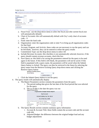### **Budget Queries**

For a Budget Query to be successful, a user with Fund Organization query access must enter a value in the Organization field (entering % in the organization feld will bring up all organization codes

| <b>Fiscal year:</b>             | $2010 \times$ |                 |  |
|---------------------------------|---------------|-----------------|--|
| <b>Chart of Accounts</b>        | 9             |                 |  |
| Fund                            |               |                 |  |
| Organization                    |               | Account         |  |
| Program                         |               | <b>Activity</b> |  |
| <b>Commitment Type:</b>         | All           | ٧               |  |
| <b>Include Revenue Accounts</b> |               |                 |  |
| <b>Save Query as:</b>           |               |                 |  |
| Submit Query                    |               |                 |  |

- a. Fiscal Year: use the drop-down menu to select the fiscal year (the current fiscal year will automatically default)
- b. Chart of Accounts: this will automatically default with Oxy's only chart of accounts  $code - 9$
- c. Fund: enter the fund code
- d. Organization: enter the organization code or enter % to bring up all organization codes for that fund
- e. Account, Program, and Activity: these codes are not necessary to run the query and can be left blank, however, they can be entered to refine the query results
- f. Commitment Type: use the drop-down menu to select All
- g. Include Revenue Accounts: this checkbox is not automatically selected, however, if the query should contain revenue accounts, check this box
- h. Save Query as: this field is for saving the parameters entered for the query to be used again in the future. If this field is left blank, the parameters will not be saved. If this field is populated with a query name, the parameters will be saved when the Submit Query button is clicked. The query can then be retrieved in the future by selecting the query name from the Retrieve Existing Query drop-down menu and clicking the Retrie

| tetrieve Query button<br><b>Retrieve Existing Query</b> |                       |              |
|---------------------------------------------------------|-----------------------|--------------|
| <b>Saved Query</b>                                      | None                  | $\checkmark$ |
|                                                         | <b>Retrieve Query</b> |              |

- i. Click the Submit Query button to run the query
- 4. The query results will automatically display
	- a. The Report Parameters section contains the parameters from the query
		- i. The period ending date gives the last date of the fiscal period that was selected for the query
		- ii. The as of date is the date the query was run Report Parameters

|              | <b>Organization Budget Status Report</b> |                    |    |
|--------------|------------------------------------------|--------------------|----|
|              | <b>By Account</b>                        |                    |    |
|              | Period Ending Jun 30, 2010               |                    |    |
|              | As of Nov 02, 2009                       |                    |    |
|              | Chart of Accounts 9 Occidental College   | Commitment Type Al |    |
| Fund         | A001 Current Operations                  | Program            | Al |
| Organization | 7410 Test Department Data Activity       |                    | Al |
| Account      | ΔIΙ                                      | <b>Ocation</b>     | Al |

- b. The Query Results section contains summary query information
	- i. Account & Account Title: these fields contain the account code and the account code title
	- ii. Adjusted Budget: the difference between the original budget load and any budget adjustments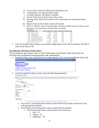- iii. Year to Date: all year to date activity (expenses, etc)
- iv. Commitments: any open purchase orders
- v. Available Balance: the balance available
- vi. Screen Total: total of all records on the screen
- vii. Running Total: total of all records on the screen plus any records previously viewed
- viii. Report Total (of all records): total of all records
- ix. Next 15> Button: only 15 account lines will show on the screen at a time, to see the next 15 account lines, click the Next 15 button

| YUCI Y INCOUILO |                               |           |           |      |                                                                   |
|-----------------|-------------------------------|-----------|-----------|------|-------------------------------------------------------------------|
|                 | <b>Account Account Title</b>  |           |           |      | <b>Adjusted Budget Year to Date Commitments Available Balance</b> |
|                 | 1813X Tsfrs In For Other      | (770.00)  | (770.00)  | 0.00 | 0.00                                                              |
| 2322            | Other Supplies                | 81.18     | 81.18     | 0.00 | 0.00                                                              |
| 2334            | Vehicle Gasoline              | 3.342.09  | 3,342.09  | 0.00 | 0.00                                                              |
| 2347            | <b>Equipment Rental</b>       | 5.570.00  | 5.570.00  | 0.00 | 0.00                                                              |
| 2349            | Other Operating Expenses      | 5,323.72  | 5.323.72  | 0.00 | 0.00                                                              |
| 2361            | <b>Equipment Maintenance</b>  | 12,230.41 | 12,230.41 | 0.00 | 0.00                                                              |
| 2433            | Equipment (Under \$5,000)     | 0.00      | 0.00      | 0.00 | 0.00                                                              |
| 2434            | Equipment (Over \$5,000)      | 9.195.84  | 9.195.84  | 0.00 | 0.00                                                              |
|                 | Report Total (of all records) | 34.973.24 | 34.973.24 | 0.00 | 0.00                                                              |

5. Click the Another Query button to run another budget query or the Back to Finance Tab link to return to the finance tab

### **Encumbrance (Purchase Order) Query**

The encumbrance query allows users to review information on purchases orders (both open and closed)for their designated fund/organization code combinations.

1. From the Finance tab, in the Self Service Links channel, click on the Encumbrance Query link



2. At the Encumbrance Query screen, enter the following parameters: **Encumbrance Query** 

| of Accounts fields.          | Concise an existing query and select Retrieve Query or create a new query. Select Submit Query to display the query results. For an Encumbrance Query to be successful, a user with Fund<br>Organization query access must enter a value in the Organization field (entering % in the organization field will bring up all organization codes for the fund) as well as the Fund, Fiscal Year, and Char |
|------------------------------|--------------------------------------------------------------------------------------------------------------------------------------------------------------------------------------------------------------------------------------------------------------------------------------------------------------------------------------------------------------------------------------------------------|
| <b>Existing Query None M</b> | Retrieve Query                                                                                                                                                                                                                                                                                                                                                                                         |
| <b>Fiscal year</b>           | Fiscal period $01$ $v$<br>$2010$ $\vee$                                                                                                                                                                                                                                                                                                                                                                |
| <b>Encumbrance Status</b>    | Open V                                                                                                                                                                                                                                                                                                                                                                                                 |
| <b>Commitment Type</b>       | All<br>ist.                                                                                                                                                                                                                                                                                                                                                                                            |
| Chart of Accounts            | 19                                                                                                                                                                                                                                                                                                                                                                                                     |
| Fund                         | <b>Activity</b>                                                                                                                                                                                                                                                                                                                                                                                        |
| Organization                 |                                                                                                                                                                                                                                                                                                                                                                                                        |
| Account                      |                                                                                                                                                                                                                                                                                                                                                                                                        |
| Program                      |                                                                                                                                                                                                                                                                                                                                                                                                        |
| Save Query as:               |                                                                                                                                                                                                                                                                                                                                                                                                        |
|                              |                                                                                                                                                                                                                                                                                                                                                                                                        |
| Submit Query                 |                                                                                                                                                                                                                                                                                                                                                                                                        |

- a. Fiscal Year: use the drop-down menu to select the fiscal year (the current fiscal year will automatically default)
- b. Fiscal Period: use the drop-down menu to select the fiscal period
	- i. The fiscal period relates to each month of the fiscal year:
		- 1.  $July 01$
		- 2. August  $-02$
		- 3. September  $03$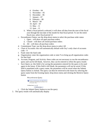- 4. October 04
- 5. November  $-05$
- 6. December  $06$
- 7. January  $-07$
- 8. February 08
- 9. March 09
- 10. April 10
- 11. May 11
- 12. June 12
- ii. When a fiscal period is selected, it will show all data from the start of the fiscal year through the last date of the month for that fiscal period. To see the entire fiscal year, select fiscal period 12
- c. Encumbrance Status: use the drop-down menu to select the purchase order status
	- i. Open will show all open purchase orders
	- ii. Closed will show all closed purchase orders
	- iii. All will show all purchase orders
- d. Commitment Type: use the drop-down menu to select All
- e. Chart of Accounts: this will automatically default with Oxy's only chart of accounts  $code - 9$
- f. Fund: enter the fund code
- g. Organization: enter the organization code or enter % to bring up all organization codes for that fund
- h. Account, Program, and Activity: these codes are not necessary to run the encumbrance query and can be left blank, however, they can be entered to refine the query results
- i. Save Query as: this field is for saving the parameters entered for the query to be used again in the future. If this field is left blank, the parameters will not be saved. If this field is populated with a query name, the parameters will be saved when the Submit Query button is clicked. The query can then be retrieved in the future by selecting the query name from the Existing Query drop-down menu and clicking the Retrieve Query button

**Encumbrance Query** 

**C** Choose an existing query and select Retrieve<br>Organization query access must enter a valu<br>of Accounts fields. Existing Query None v

Retrieve Query

- j. Click the Submit Query button to run the query
- 3. The query results will automatically display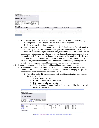|           | <b>Report Parameters</b>        |              |                                                           |                     |                         |                                   |            |                             |        |                  |                        |                |                         |
|-----------|---------------------------------|--------------|-----------------------------------------------------------|---------------------|-------------------------|-----------------------------------|------------|-----------------------------|--------|------------------|------------------------|----------------|-------------------------|
|           |                                 |              | Organization Encumbrance Status Report                    |                     |                         |                                   |            |                             |        |                  |                        |                |                         |
|           |                                 |              | All Encumbrance Summary by Document, Account Distribution |                     |                         |                                   |            |                             |        |                  |                        |                |                         |
|           | Period Ending Jun 30, 2009      |              |                                                           |                     |                         |                                   |            |                             |        |                  |                        |                |                         |
|           | As of Nov 01, 2009              |              |                                                           |                     |                         |                                   |            |                             |        |                  |                        |                |                         |
|           |                                 |              | Chart of Accounts 9 Occidental College                    | Commitment Type All |                         |                                   |            |                             |        |                  |                        |                |                         |
| Fund Code |                                 |              | A001 Current Operations                                   | Program Code        | All                     |                                   |            |                             |        |                  |                        |                |                         |
|           |                                 |              |                                                           |                     |                         |                                   |            |                             |        |                  |                        |                |                         |
| Oran Code |                                 |              | 7410 Test Department Data Activity Code                   |                     | All                     |                                   |            |                             |        |                  |                        |                |                         |
|           | Account Code                    | $\mathbb{A}$ |                                                           | Location Code       | All                     |                                   |            |                             |        |                  |                        |                |                         |
|           |                                 |              |                                                           |                     |                         |                                   |            |                             |        |                  |                        |                |                         |
|           | <b>Ouery Results</b>            |              |                                                           |                     |                         |                                   |            |                             |        |                  |                        |                |                         |
|           | <b>Account Document</b><br>Code |              | <b>Description</b>                                        |                     | Original<br>Commitments | Encumbrance<br><b>Adjustments</b> |            | Encumbrance<br>Liquidations |        | Year to<br>Date  | Current<br>Commitments | a <sub>b</sub> | Cmt Type<br><b>Used</b> |
| 2310      | P0007190                        |              | South Bay Document<br>Destruction, Inc.                   |                     | 1,000.00                |                                   | (1,000.00) |                             | .00    | .00              |                        | .00            | .00 Uncommitted         |
| 2315      | P0007240                        |              | Scantron Corporation                                      |                     | 2.048.90                |                                   | (2.048.90) |                             | .00.   | .00 <sub>1</sub> |                        | .00.           | .00 Uncommitted         |
| 2433      | P0007449                        |              | GovConnection                                             |                     | 841.23                  |                                   | .00.       |                             | B41.23 | 841.23           |                        | .00.           | 100.00 Uncommitted      |

[ Budget Queries | Encumbrance Query | Budget Transfer | Multiple Line Budget Transfer | Delete Finance Template ]

- a. The Report Parameters section: this section contains the parameters from the query
	- i. The period ending date gives the last date of the fiscal period
	- ii. The as of date is the date the query was run
- b. The Query Results section: this section contains detailed information for each purchase order including account code, document code (purchase order number), description (purchase order vendor), original commitments (original amount of the purchase order), encumbrance adjustments (adjustments to the purchase order, including cancellation of the purchase order), encumbrance liquidations (any part of the purchase order that was liquidated, including payment), year to date (the total amount paid on the purchase order to date), current commitments (the amount that is outstanding on the purchase order), % used (the percentage of the purchase order that has been liquidated)
- 4. Click on the document code link to display additional information on the purchase order
	- a. The document detail screen will show the activity on the purchase order including payment, cancellations, etc. Click on the document code link to bring up the specific document for that transaction on the purchase order
		- i. Rule Class Code: this field indicates the type of transaction that took place on the purchase order
			- 1. PORD purchase order
			- 2. PCRD purchase order cancellation
			- 3. INEI Accounts Payable invoice
			- 4. DNEI Accounts Payable check paid to the vendor (the document code is the check number)

|                                  | <b>Selected Document</b>                |                                       |                                                  |                  |                             |                        |                |                    |             |      |            |                                                     |
|----------------------------------|-----------------------------------------|---------------------------------------|--------------------------------------------------|------------------|-----------------------------|------------------------|----------------|--------------------|-------------|------|------------|-----------------------------------------------------|
|                                  | <b>Encumbrance Detail Status Report</b> |                                       |                                                  |                  |                             |                        |                |                    |             |      |            |                                                     |
|                                  | By Document, Account Distribution       |                                       |                                                  |                  |                             |                        |                |                    |             |      |            |                                                     |
|                                  | Period Ending Jun 30, 2009              |                                       |                                                  |                  |                             |                        |                |                    |             |      |            |                                                     |
| As of Nov 01, 2009               |                                         |                                       |                                                  |                  |                             |                        |                |                    |             |      |            |                                                     |
| Chart of Accounts                |                                         |                                       | 9 Occidental College Commitment Type Uncommitted |                  |                             |                        |                |                    |             |      |            |                                                     |
| Document Number                  |                                         | P0007449                              | Document Date Apr 28, 2009                       |                  |                             |                        |                |                    |             |      |            |                                                     |
|                                  |                                         | Transaction Description GovConnection |                                                  |                  |                             |                        |                |                    |             |      |            |                                                     |
|                                  |                                         |                                       |                                                  |                  |                             |                        |                |                    |             |      |            |                                                     |
| <b>Document Detail</b>           |                                         |                                       |                                                  |                  |                             |                        |                |                    |             |      |            |                                                     |
| Document<br>Code                 | Rule Class Original<br>Code             | Encumbrance                           | Encumbrance<br><b>Adjustments</b>                |                  | Encumbrance<br>Liquidations | Year to<br><b>Date</b> | Item<br>Number | Sequence<br>Number |             |      |            | Fund Organization Account Program Activity Location |
|                                  | INET                                    |                                       | .00                                              | .00              | B41.23                      | .00                    |                |                    | 1A0017410   | 2433 | ISP        |                                                     |
|                                  | DNET                                    |                                       | .00                                              | .00 <sub>1</sub> | .00.                        | .00 <sub>1</sub>       |                |                    | 1 A001 7410 | 2433 | <b>ISP</b> |                                                     |
| 10479395<br>05112953<br>10479395 | INEI                                    |                                       | .00                                              | .00.             | .00                         | 841.23                 |                |                    | 1 A001 7410 | 2433 | <b>ISP</b> |                                                     |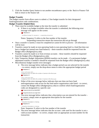5. Click the Another Query button to run another encumbrance query or the Back to Finance Tab link to return to the finance tab

### **Budget Transfer**

The budget transfer form allows users to submit a 2 line budget transfer for their designated fund/organization code combinations.

### **Budget Transfer Helpful Hints**

- There must be available budget at the time the transfer is submitted
	- o If there is no budget available when the transfer is submitted, the following error message will appear on the screen:<br> $\sum_{n=1}^{\infty}$  sequence 1:

Insufficient budget for sequence 1, suspending transaction.

Notes: Sequence X refers to the line number of the transfer

Suspending transaction means the transaction did not go through

- $\blacksquare$  Once a transfer is started, it must be completed (it cannot be left in process all information will be lost)
- **Transfers cannot be made on non-operating funds (a non-operating fund is a fund that does not** have a budget but instead uses fund balance) – these transfers should be requested from the Budget office (Budgets@oxy.edu)
- Transfers cannot be made to or from revenue accounts these transfers should be requested from the Budget office (Budgets@oxy.edu)
- Only Temporary Budget Adjustment (BD04) transfers can be made if a permanent budget adjustment transfer is needed it should be requested from the Budget office (Budgets@oxy.edu)
- Miscellaneous budget transfer error messages:
	- o The error message below indicates that a budget period was not selected for the transfer – to correct, simply use the drop-down menu to select the appropriate budget period  $\bullet$  Sequence 1:

```
Error on Process 0021
Budget period is not within the number of periods in the fiscal year.
\bullet Sequence 2:
```
Error on Process 0021 Budget period is not within the number of periods in the fiscal year.

- o Either of the error message below indicates that user does not have fund and/organization code access for the fund and/or organization code listed – to correct, contact the Budget office (Budgets@oxy.edu) to confirm which fund/organization codes are designated to a specific user
	- $\hat{\mathbf{X}}$  No permission to use fund D027
	- $\bigotimes$  No permission to use orgn 5110
- o The error message below indicates that a description was not entered for the transfer to correct, simply enter an appropriate description for the transfer Sequence 1:
	- Transaction Description is missing. Sequence 2:

Transaction Description is missing.

Note: Sequence X refers to the line number of the transfer

o The error message below indicates that the account code used for the transfer is not a valid account number – to correct, simply enter an appropriate account number for the transaction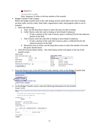

Account 2310S is invalid.

Note: Sequence X refers to the line number of the transfer

Budget Transfer Code Lookup:

Below the budget transfer form is the code lookup section which allows the user to lookup account codes, activity codes, fund codes, organization codes, and program codes to use in transfers

- 1. Select the following:
	- a. Type: use the drop-down menu to select the type of code to lookup
	- b. Code Criteria: enter the code to lookup or leave blank if unknown
		- i. If only a portion of the code is known, place a wildcard (%) for the unknown portion in the field
	- c. Title Criteria: enter the code title to lookup or leave blank if unknown
		- i. If only a portion of the code title is known, place a wildcard (%) for the unknown portion in the field
	- d. Maximum rows to return: use the drop-down menu to select the number of records the query should return
- 2. Click the Execute Query button the code lookup results will appear at the top of the transfer screen

| Code Lookup                    |                         |                     |                            |  |  |
|--------------------------------|-------------------------|---------------------|----------------------------|--|--|
| <b>Chart of Accounts Code</b>  | 9 <sub>v</sub>          | Code lookup results |                            |  |  |
|                                |                         | Chart 9             |                            |  |  |
| Type                           | $\checkmark$<br>account | Account Code        | Title                      |  |  |
| Code Criteria                  | 2310%                   | 2310                | Services                   |  |  |
| Title Criteria                 |                         | 2310A               | Services - Design          |  |  |
|                                |                         | 2310B               | Services - Writing         |  |  |
| Maximum rows to return $_{10}$ | $\checkmark$            | 2310DD              | Document Delivery Services |  |  |
| <b>Execute Query</b>           |                         | 2310W               | Web Services               |  |  |

1. From the Finance tab, in the Self Service Links channel, click on the Budget Transfer link



2. At the Budget Transfer screen, enter the following information for the transfer: **Budget Transfer** 

| Degin by creating a budget transfer or retrieving an existing template. If available budget exists, budget can be transferred from only one set of accounting elements to another within the same<br>chart. |  |
|-------------------------------------------------------------------------------------------------------------------------------------------------------------------------------------------------------------|--|
| Choose Complete to perform a validation and forward the document for processing.                                                                                                                            |  |
| Use Code Lookup to query a list of available values.                                                                                                                                                        |  |
| Use template None<br>$\mathbf{v}$<br>Retrieve                                                                                                                                                               |  |
| <b>Transaction Date</b><br>$2009$ $\vee$<br>NOV Y<br>$\ddot{ }$                                                                                                                                             |  |
| Journal Type<br>BD04 (Temporary Budget Adjustment) V                                                                                                                                                        |  |
| <b>Transfer Amount</b>                                                                                                                                                                                      |  |
| Document Amount 0.00                                                                                                                                                                                        |  |
| Chart Fund<br><b>Organization Account</b><br>Program Activity D/C                                                                                                                                           |  |
| From<br>9                                                                                                                                                                                                   |  |
| To<br>$\pm$                                                                                                                                                                                                 |  |
| Budget Period 00 v<br>Description                                                                                                                                                                           |  |
| Save as Template                                                                                                                                                                                            |  |
| Complete                                                                                                                                                                                                    |  |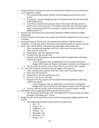- a. Transaction Date: the transaction date will automatically default to the current date but can be updated as needed
	- i. The transaction date should coincide with the budget period selected for the transfer
	- ii. If posting to a previous budget period, the transaction date must be the last date of the budget period
	- iii. At the fiscal yearend, the transaction date is what ensures that the transfer is posted to the correct fiscal year. All transfers made after June  $30<sup>th</sup>$  that should apply to the previous fiscal year must have a transaction date of 06/30 and a budget period of 12
- b. Journal Type: the journal type automatically defaults to BD04 (Temporary Budget Adjustment)
- c. Transfer Amount: this amount is the amount that needs be transferred from one account to another
- d. Document Amount: this amount will automatically populate when the transfer is completed – it is the sum total of both lines of the transfer (double the transfer amount)
- e. From this is the FOAPAL information that the budget will be taken from:
	- i. Chart: automatically populates with Oxy's only chart of accounts code: 9
	- ii. Fund: enter the fund code
	- iii. Organization: enter the organization code
	- iv. Account: enter the account code
	- v. Program: enter the program code associated with the organization code being used for the transfer
		- 1. A list of program codes by department can be found by clicking the Budget office link in the Finance Information channel on the Finance tab
	- vi. Activity: enter the activity code or leave blank if no activity code is needed
- f. To this is the FOAPAL information that the budget will be given to:
	- i. Chart: automatically populates with Oxy's only chart of accounts code: 9
	- ii. Fund: enter the fund code
	- iii. Organization: enter the organization code
	- iv. Account: enter the account code
	- v. Program: enter the program code associated with the organization code being used for the transfer
		- 1. A list of program codes by department can be found by clicking the Budget office link in the Finance Information channel on the Finance tab
	- vi. Activity: enter the activity code or leave blank if no activity code is needed
- g. Description: enter an appropriate description for the transaction
	- i. The description should begin with: Xfr budget per First Name Initial Last Name (Example: Xfr budget per J. Vance)
- h. Budget Period: use the drop-down menu to select the appropriate budget period for the transfer
	- i. The budget period relates to each month of the fiscal year:
		- 1. July  $-01$
		- 2. August  $-02$
		- 3. September  $03$
		- 4. October 04
		- 5. November  $05$
		- 6. December  $06$
		- 7. January  $-07$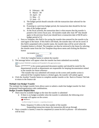- 8. February 08
- 9. March 09
- 10. April 10
- 11. May 11
- 12. June 12
- ii. The budget period should coincide with the transaction date selected for the transfer
- iii. If posting to a previous budget period, the transaction date should be the last date of the budget period
- iv. At the fiscal yearend, the transaction date is what ensures that the transfer is posted to the correct fiscal year. All transfers made after June  $30<sup>th</sup>$  that should apply to the previous fiscal year should have a transaction date of 06/30 and a budget period of 12
- i. Save as Template: this field is for saving the transfer data entered for the transfer to be used again in the future. If this field is left blank, the transfer data will not be saved. If this field is populated with a transfer name, the transfer data will be saved when the Complete button is clicked. The template can then be retrieved in the future by selecting the transfer name from the Use Template drop-down menu and clicking the Retrieve button

| Use template $ _{\text{None}}$ |          |  |
|--------------------------------|----------|--|
|                                | Retrieve |  |

- j. Click the Complete button to submit the transfer
- 3. The message below will appear when the transfer has been submitted successfully

Document T0000168 completed and forwarded to the approval process.

Notes:  $-T^{*******}$  is the system generated document number and should be noted for the departmental records as departments are responsible for keeping documentation related to the transfer for future reference

 -The transfer that was submitted will remain on the screen until another action is selected (if the Complete button is clicked again, the transfer will submit again)

4. Click the Another Transfer button to complete another transfer or the Back to Finance Tab link to return to the finance tab

# **Multiple Line Budget Transfer**

The multiple line budget transfer form allows users to submit a multi-line budget transfer for their designated fund/organization code combinations.

# **Budget Transfer Helpful Hints**

- There must be available budget at the time the transfer is submitted
	- o If there is no budget available when the transfer is submitted, the following error message will appear on the screen:
		- Sequence 1:

Insufficient budget for sequence 1, suspending transaction.

Notes: Sequence X refers to the line number of the transfer

Suspending transaction means the transaction did not go through

 $\blacksquare$  Once a transfer is started, it must be completed (it cannot be left in process – all information will be lost)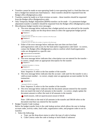- **Transfers cannot be made on non-operating funds (a non-operating fund is a fund that does not** have a budget but instead uses fund balance) – these transfers should be requested from the Budget office (Budgets@oxy.edu)
- Transfers cannot be made to or from revenue accounts these transfers should be requested from the Budget office (Budgets@oxy.edu)
- Only Temporary Budget Adjustment (BD04) transfers can be made if a permanent budget adjustment transfer is needed it should be requested from the Budget office (Budgets@oxy.edu)
- Miscellaneous budget transfer error messages:
	- o The error message below indicates that a budget period was not selected for the transfer – to correct, simply use the drop-down menu to select the appropriate budget period

```
\bullet Sequence 1:
Error on Process O021
Budget period is not within the number of periods in the fiscal year.
Sequence 2:
Error on Process 0021
Budget period is not within the number of periods in the fiscal year.
```
- o Either of the error message below indicates that user does not have fund and/organization code access for the fund and/or organization code listed – to correct, contact the Budget office (Budgets@oxy.edu) to confirm which fund/organization codes are designated to a specific user
	- No permission to use fund D027
	- $\chi$  No permission to use orgn 5110
- o The error message below indicates that a description was not entered for the transfer to correct, simply enter an appropriate description for the transfer Sequence 1:
	- Transaction Description is missing. Sequence 2:

### Transaction Description is missing.

Note: Sequence X refers to the line number of the transfer

o The error message below indicates that the account code used for the transfer is not a valid account number – to correct, simply enter an appropriate account number for the transaction

Sequence 1:

Account 2310S is invalid.

Note: Sequence X refers to the line number of the transfer

o The error message below indicates that the document amount entered for the transfer does not match the total of all amounts in the transfer – to correct, simply update the document amount to reflect the total of all amounts in the transfer

Detail amounts, 1200 not equal document amount of 500.00

Note: 1200 refers to the total of all amounts in the transfer and 500.00 refers to the document total that was entered for the transfer

- Budget Transfer Code Lookup:
	- Below the budget transfer form is the code lookup section which allows the user to lookup account codes, activity codes, fund codes, organization codes, and program codes to use in transfers
	- 1. Select the following:
		- a. Type: use the drop-down menu to select the type of code to lookup
		- b. Code Criteria: enter the code to lookup or leave blank if unknown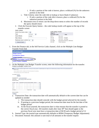- i. If only a portion of the code is known, place a wildcard (%) for the unknown portion in the field
- c. Title Criteria: enter the code title to lookup or leave blank if unknown
	- i. If only a portion of the code title is known, place a wildcard (%) for the unknown portion in the field
- d. Maximum rows to return: use the drop-down menu to select the number of records the query should return
- 2. Click the Execute Query button the code lookup results will appear at the top of the transfer screen

| Code lookup results        |  |  |  |
|----------------------------|--|--|--|
| Chart 9                    |  |  |  |
| Title                      |  |  |  |
|                            |  |  |  |
| Services - Design          |  |  |  |
| Services - Writing         |  |  |  |
| Document Delivery Services |  |  |  |
| Web Services               |  |  |  |
|                            |  |  |  |

1. From the Finance tab, in the Self Service Links channel, click on the Multiple Line Budget Transfer Form link

| <b>Self Service Links</b>                 | 31 x |
|-------------------------------------------|------|
| <b>Budget Queries</b>                     |      |
| <b>Encumbrance Query</b>                  |      |
| <b>Budget Transfer</b>                    |      |
| <b>Multiple Line Budget Transfer Form</b> |      |
| <b>Delete Finance Template</b>            |      |
|                                           |      |

2. At the Multiple Line Budget Transfer screen, enter the following information for the transfer:<br>Multiple Line Budget Transfer Form



- a. Transaction Date: the transaction date will automatically default to the current date but can be updated as needed
	- i. The transaction date should coincide with the budget period selected for the transfer
	- ii. If posting to a previous budget period, the transaction date must be the last date of the budget period
	- iii. At the fiscal yearend, the transaction date is what ensures that the transfer is posted to the correct fiscal year. All transfers made after June  $30<sup>th</sup>$  that should apply to the previous fiscal year must have a transaction date of 06/30 and a budget period of 12
- b. Journal Type: the journal type automatically defaults to BD04 (Temporary Budget Adjustment)
- c. Document Amount: this amount is sum total of all amounts in the transfer request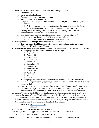- d. Lines  $#1 5$ : enter the FOAPAL information for the budget transfers
	- i. Chart: enter 9
	- ii. Fund: enter the fund code
	- iii. Organization: enter the organization code
	- iv. Account: enter the account code
	- v. Program: enter the program code associated with the organization code being used for the transfer
		- 1. A list of program codes by department can be found by clicking the Budget office link in the Finance Information channel on the Finance tab
	- vi. Activity: enter the activity code or leave blank if no activity code is needed
	- vii. Amount: the amount that needs to be transferred
	- viii. D/C (debit/credit indicator): use the drop-down menu to select either  $a +/2$ 
		- 1. +: to transfer budget to a FOAPAL (increase budget)
		- 2. -: to transfer budget from a FOAPAL (decrease budget)
- e. Description: enter an appropriate description for the transaction
	- i. The description should begin with: Xfr budget per First Name Initial Last Name (Example: Xfr budget per J. Vance)
- f. Budget Period: use the drop-down menu to select the appropriate budget period for the transfer
	- i. The budget period relates to each month of the fiscal year:
		- 1. July 01
		- 2. August  $-02$
		- 3. September  $03$
		- 4. October 04
		- 5. November  $05$
		- 6. December 06
		- 7. January  $-07$
		- 8. February 08
		- 9. March 09
		- 10. April 10
		- 11. May 11
		- 12. June 12
	- ii. The budget period should coincide with the transaction date selected for the transfer
	- iii. If posting to a previous budget period, the transaction date should be the last date of the budget period
	- iv. At the fiscal yearend, the transaction date is what ensures that the transfer is posted to the correct fiscal year. All transfers made after June  $30<sup>th</sup>$  that should apply to the previous fiscal year should have a transaction date of 06/30 and a budget period of 12
- g. Save as Template: this field is for saving the transfer data entered for the transfer to be used again in the future. If this field is left blank, the transfer data will not be saved. If this field is populated with a transfer name, the transfer data will be saved when the Complete button is clicked. The template can then be retrieved in the future by selecting the transfer name from the Use Template drop-down menu and clicking the Retrieve button



- h. Click the Complete button to submit the transfer
- 3. The message below will appear when the transfer has been submitted successfully
- Document T0000168 completed and forwarded to the approval process.
- Notes:  $-T*******$  is the system generated document number and should be noted for the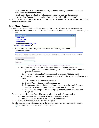departmental records as departments are responsible for keeping documentation related to the transfer for future reference

 -The transfer that was submitted will remain on the screen until another action is selected (if the Complete button is clicked again, the transfer will submit again)

4. Click the Another Transfer button to complete another transfer or the Back to Finance Tab link to return to the finance tab

### **Delete Finance Template**

The delete finance template form allows users to delete any saved query or transfer templates.

1. From the Finance tab, in the Self Service Links channel, click on the Delete Finance Template link

| <b>Self Service Links</b>          |  |
|------------------------------------|--|
| <b>Budget Queries</b>              |  |
| <b>Encumbrance Query</b>           |  |
| <b>Budget Transfer</b>             |  |
| Multiple Line Budget Transfer Form |  |
| Delete Finance Template            |  |
|                                    |  |

2. At the Delete Finance Template screen, enter the following parameters: Delete Finance Template

| Finance Data Tailor access can delete Shared templates/queries. | Enter parameters in any combination to retrieve templates or queries for deletion. Use a wildcard (%) in the Template/Query Name field if only part of the name is known. Use the Template/Query<br>Type field pull-down list to limit the types of queries/templates retrieved. Note: Only personal (not Shared) templates/queries for the current user will be retrieved for deletion. Only users with |
|-----------------------------------------------------------------|----------------------------------------------------------------------------------------------------------------------------------------------------------------------------------------------------------------------------------------------------------------------------------------------------------------------------------------------------------------------------------------------------------|
| <b>Enter Parameters</b>                                         |                                                                                                                                                                                                                                                                                                                                                                                                          |
| Template/Query Name:                                            |                                                                                                                                                                                                                                                                                                                                                                                                          |
| Template/Query Type:<br>$\Delta$ 11                             |                                                                                                                                                                                                                                                                                                                                                                                                          |
| Submit Query                                                    |                                                                                                                                                                                                                                                                                                                                                                                                          |

- a. Template/Query Name: type in the name of the template/query to delete
	- i. If only a portion of the name is known, place a wildcard (%) for the unknown portion of the name
	- ii. To bring up all template/queries, use only a wildcard (%) in the field
- b. Template/Query Type: use the drop-down menu to select the type of template/query to delete
	- i. All brings up all template/query types
	- ii. Budget Query brings up all budget queries
	- iii. Encumbrance Query brings up all encumbrance (purchase order) queries
	- iv. Budget Transfer brings up all 2 line budget transfer templates
	- v. Multiple Line Budget Transfer brings up all multiple line budget transfer templates
- 3. At the Stored Template/Query List screen, select the template/query to delete
	- a. Click the delete box on the line of the template/query to delete
	- b. Click the Select All button to select all lines for deletion
- 4. Click the Delete button to delete the template/query
- 5. The message below will appear when the template/query has been successfully deleted Deletion of selected templates or queries complete.  $\overline{\mathcal{L}}$